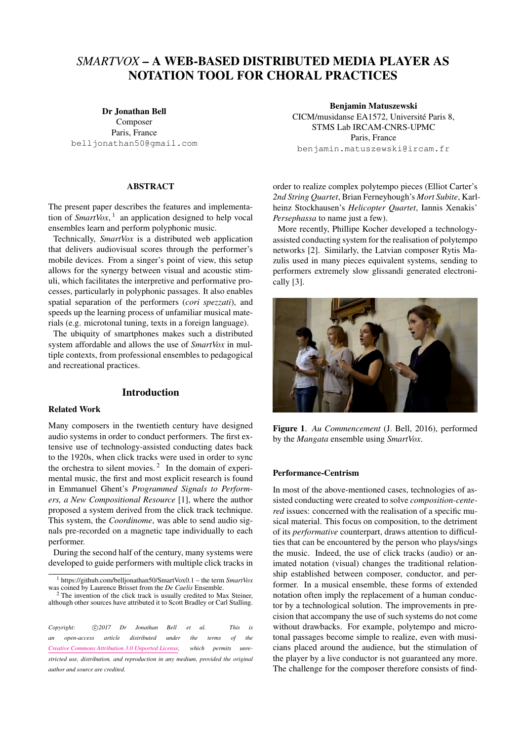# *SMARTVOX* – A WEB-BASED DISTRIBUTED MEDIA PLAYER AS NOTATION TOOL FOR CHORAL PRACTICES

#### Dr Jonathan Bell

Composer Paris, France [belljonathan50@gmail.com](mailto:belljonathan50@gmail.com)

#### ABSTRACT

The present paper describes the features and implementation of *SmartVox*, [1](#page-0-0) an application designed to help vocal ensembles learn and perform polyphonic music.

Technically, *SmartVox* is a distributed web application that delivers audiovisual scores through the performer's mobile devices. From a singer's point of view, this setup allows for the synergy between visual and acoustic stimuli, which facilitates the interpretive and performative processes, particularly in polyphonic passages. It also enables spatial separation of the performers (*cori spezzati*), and speeds up the learning process of unfamiliar musical materials (e.g. microtonal tuning, texts in a foreign language).

The ubiquity of smartphones makes such a distributed system affordable and allows the use of *SmartVox* in multiple contexts, from professional ensembles to pedagogical and recreational practices.

# Introduction

#### Related Work

Many composers in the twentieth century have designed audio systems in order to conduct performers. The first extensive use of technology-assisted conducting dates back to the 1920s, when click tracks were used in order to sync the orchestra to silent movies.<sup>[2](#page-0-1)</sup> In the domain of experimental music, the first and most explicit research is found in Emmanuel Ghent's *Programmed Signals to Performers, a New Compositional Resource* [\[1\]](#page-5-0), where the author proposed a system derived from the click track technique. This system, the *Coordinome*, was able to send audio signals pre-recorded on a magnetic tape individually to each performer.

During the second half of the century, many systems were developed to guide performers with multiple click tracks in

<span id="page-0-1"></span> $2$  The invention of the click track is usually credited to Max Steiner, although other sources have attributed it to Scott Bradley or Carl Stalling.

*Copyright:*  $\bigcirc$  2017 Dr Jonathan Bell et al. This is *an open-access article distributed under the terms of the [Creative Commons Attribution 3.0 Unported License,](http://creativecommons.org/licenses/by/3.0/) which permits unrestricted use, distribution, and reproduction in any medium, provided the original author and source are credited.*

Benjamin Matuszewski CICM/musidanse EA1572, Université Paris 8, STMS Lab IRCAM-CNRS-UPMC Paris, France [benjamin.matuszewski@ircam.fr](mailto:benjamin.matuszewski@ircam.fr)

order to realize complex polytempo pieces (Elliot Carter's *2nd String Quartet*, Brian Ferneyhough's *Mort Subite*, Karlheinz Stockhausen's *Helicopter Quartet*, Iannis Xenakis' *Persephassa* to name just a few).

More recently, Phillipe Kocher developed a technologyassisted conducting system for the realisation of polytempo networks [\[2\]](#page-5-1). Similarly, the Latvian composer Rytis Mazulis used in many pieces equivalent systems, sending to performers extremely slow glissandi generated electronically [\[3\]](#page-5-2).



Figure 1. *Au Commencement* (J. Bell, 2016), performed by the *Mangata* ensemble using *SmartVox*.

#### Performance-Centrism

In most of the above-mentioned cases, technologies of assisted conducting were created to solve *composition-centered* issues: concerned with the realisation of a specific musical material. This focus on composition, to the detriment of its *performative* counterpart, draws attention to difficulties that can be encountered by the person who plays/sings the music. Indeed, the use of click tracks (audio) or animated notation (visual) changes the traditional relationship established between composer, conductor, and performer. In a musical ensemble, these forms of extended notation often imply the replacement of a human conductor by a technological solution. The improvements in precision that accompany the use of such systems do not come without drawbacks. For example, polytempo and microtonal passages become simple to realize, even with musicians placed around the audience, but the stimulation of the player by a live conductor is not guaranteed any more. The challenge for the composer therefore consists of find-

<span id="page-0-0"></span><sup>1</sup> <https://github.com/belljonathan50/SmartVox0.1> – the term *SmartVox* was coined by Laurence Brisset from the *De Caelis* Ensemble.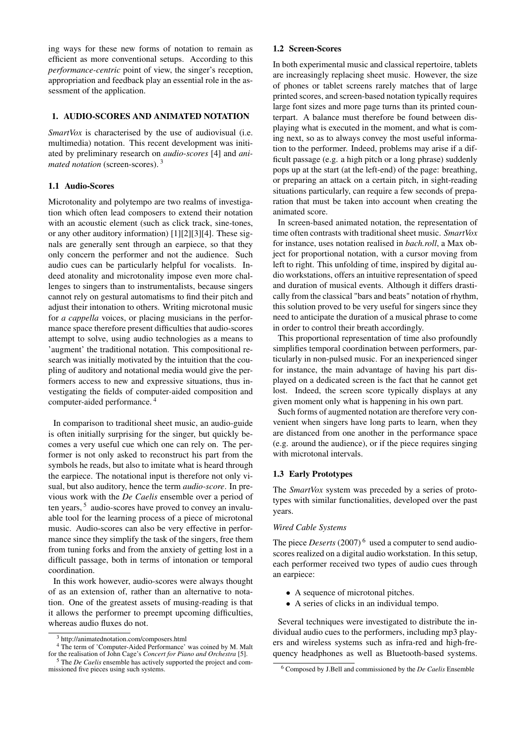ing ways for these new forms of notation to remain as efficient as more conventional setups. According to this *performance-centric* point of view, the singer's reception, appropriation and feedback play an essential role in the assessment of the application.

## 1. AUDIO-SCORES AND ANIMATED NOTATION

*SmartVox* is characterised by the use of audiovisual (i.e. multimedia) notation. This recent development was initiated by preliminary research on *audio-scores* [\[4\]](#page-5-3) and *animated notation* (screen-scores). [3](#page-1-0)

## 1.1 Audio-Scores

Microtonality and polytempo are two realms of investigation which often lead composers to extend their notation with an acoustic element (such as click track, sine-tones, or any other auditory information) [\[1\]](#page-5-0)[\[2\]](#page-5-1)[\[3\]](#page-5-2)[\[4\]](#page-5-3). These signals are generally sent through an earpiece, so that they only concern the performer and not the audience. Such audio cues can be particularly helpful for vocalists. Indeed atonality and microtonality impose even more challenges to singers than to instrumentalists, because singers cannot rely on gestural automatisms to find their pitch and adjust their intonation to others. Writing microtonal music for *a cappella* voices, or placing musicians in the performance space therefore present difficulties that audio-scores attempt to solve, using audio technologies as a means to 'augment' the traditional notation. This compositional research was initially motivated by the intuition that the coupling of auditory and notational media would give the performers access to new and expressive situations, thus investigating the fields of computer-aided composition and computer-aided performance. [4](#page-1-1)

In comparison to traditional sheet music, an audio-guide is often initially surprising for the singer, but quickly becomes a very useful cue which one can rely on. The performer is not only asked to reconstruct his part from the symbols he reads, but also to imitate what is heard through the earpiece. The notational input is therefore not only visual, but also auditory, hence the term *audio-score*. In previous work with the *De Caelis* ensemble over a period of ten years,<sup>[5](#page-1-2)</sup> audio-scores have proved to convey an invaluable tool for the learning process of a piece of microtonal music. Audio-scores can also be very effective in performance since they simplify the task of the singers, free them from tuning forks and from the anxiety of getting lost in a difficult passage, both in terms of intonation or temporal coordination.

In this work however, audio-scores were always thought of as an extension of, rather than an alternative to notation. One of the greatest assets of musing-reading is that it allows the performer to preempt upcoming difficulties, whereas audio fluxes do not.

#### 1.2 Screen-Scores

In both experimental music and classical repertoire, tablets are increasingly replacing sheet music. However, the size of phones or tablet screens rarely matches that of large printed scores, and screen-based notation typically requires large font sizes and more page turns than its printed counterpart. A balance must therefore be found between displaying what is executed in the moment, and what is coming next, so as to always convey the most useful information to the performer. Indeed, problems may arise if a difficult passage (e.g. a high pitch or a long phrase) suddenly pops up at the start (at the left-end) of the page: breathing, or preparing an attack on a certain pitch, in sight-reading situations particularly, can require a few seconds of preparation that must be taken into account when creating the animated score.

In screen-based animated notation, the representation of time often contrasts with traditional sheet music. *SmartVox* for instance, uses notation realised in *bach.roll*, a Max object for proportional notation, with a cursor moving from left to right. This unfolding of time, inspired by digital audio workstations, offers an intuitive representation of speed and duration of musical events. Although it differs drastically from the classical "bars and beats" notation of rhythm, this solution proved to be very useful for singers since they need to anticipate the duration of a musical phrase to come in order to control their breath accordingly.

This proportional representation of time also profoundly simplifies temporal coordination between performers, particularly in non-pulsed music. For an inexperienced singer for instance, the main advantage of having his part displayed on a dedicated screen is the fact that he cannot get lost. Indeed, the screen score typically displays at any given moment only what is happening in his own part.

Such forms of augmented notation are therefore very convenient when singers have long parts to learn, when they are distanced from one another in the performance space (e.g. around the audience), or if the piece requires singing with microtonal intervals.

## 1.3 Early Prototypes

The *SmartVox* system was preceded by a series of prototypes with similar functionalities, developed over the past years.

## *Wired Cable Systems*

The piece *Deserts* (2007)<sup>[6](#page-1-3)</sup> used a computer to send audioscores realized on a digital audio workstation. In this setup, each performer received two types of audio cues through an earpiece:

- A sequence of microtonal pitches.
- A series of clicks in an individual tempo.

Several techniques were investigated to distribute the individual audio cues to the performers, including mp3 players and wireless systems such as infra-red and high-frequency headphones as well as Bluetooth-based systems.

<span id="page-1-1"></span><span id="page-1-0"></span><sup>&</sup>lt;sup>3</sup> <http://animatednotation.com/composers.html>

<sup>4</sup> The term of 'Computer-Aided Performance' was coined by M. Malt for the realisation of John Cage's *Concert for Piano and Orchestra* [\[5\]](#page-5-4). <sup>5</sup> The *De Caelis* ensemble has actively supported the project and com-

<span id="page-1-2"></span>missioned five pieces using such systems.

<span id="page-1-3"></span><sup>6</sup> Composed by J.Bell and commissioned by the *De Caelis* Ensemble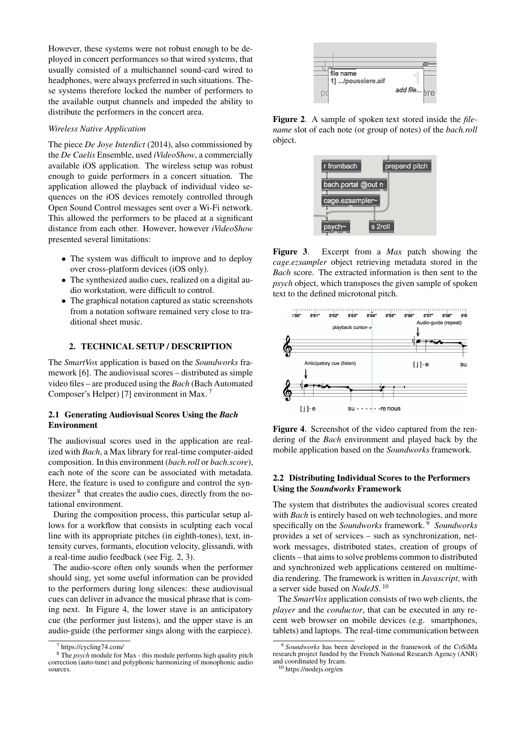However, these systems were not robust enough to be deployed in concert performances so that wired systems, that usually consisted of a multichannel sound-card wired to headphones, were always preferred in such situations. These systems therefore locked the number of performers to the available output channels and impeded the ability to distribute the performers in the concert area.

## *Wireless Native Application*

The piece *De Joye Interdict* (2014), also commissioned by the *De Caelis* Ensemble, used *iVideoShow*, a commercially available iOS application. The wireless setup was robust enough to guide performers in a concert situation. The application allowed the playback of individual video sequences on the iOS devices remotely controlled through Open Sound Control messages sent over a Wi-Fi network. This allowed the performers to be placed at a significant distance from each other. However, however *iVideoShow* presented several limitations:

- The system was difficult to improve and to deploy over cross-platform devices (iOS only).
- The synthesized audio cues, realized on a digital audio workstation, were difficult to control.
- The graphical notation captured as static screenshots from a notation software remained very close to traditional sheet music.

## 2. TECHNICAL SETUP / DESCRIPTION

The *SmartVox* application is based on the *Soundworks* framework [\[6\]](#page-5-5). The audiovisual scores – distributed as simple video files – are produced using the *Bach* (Bach Automated Composer's Helper) [\[7\]](#page-5-6) environment in Max. [7](#page-2-0)

## 2.1 Generating Audiovisual Scores Using the *Bach* Environment

The audiovisual scores used in the application are realized with *Bach*, a Max library for real-time computer-aided composition. In this environment (*bach.roll* or *bach.score*), each note of the score can be associated with metadata. Here, the feature is used to configure and control the syn-thesizer<sup>[8](#page-2-1)</sup> that creates the audio cues, directly from the notational environment.

During the composition process, this particular setup allows for a workflow that consists in sculpting each vocal line with its appropriate pitches (in eighth-tones), text, intensity curves, formants, elocution velocity, glissandi, with a real-time audio feedback (see Fig. [2,](#page-2-2) [3\)](#page-2-3).

The audio-score often only sounds when the performer should sing, yet some useful information can be provided to the performers during long silences: these audiovisual cues can deliver in advance the musical phrase that is coming next. In Figure [4,](#page-2-4) the lower stave is an anticipatory cue (the performer just listens), and the upper stave is an audio-guide (the performer sings along with the earpiece).

<span id="page-2-2"></span>

Figure 2. A sample of spoken text stored inside the *filename* slot of each note (or group of notes) of the *bach.roll* object.

<span id="page-2-3"></span>

Figure 3. Excerpt from a *Max* patch showing the *cage.ezsampler* object retrieving metadata stored in the *Bach* score. The extracted information is then sent to the *psych* object, which transposes the given sample of spoken text to the defined microtonal pitch.

<span id="page-2-4"></span>

Figure 4. Screenshot of the video captured from the rendering of the *Bach* environment and played back by the mobile application based on the *Soundworks* framework.

## 2.2 Distributing Individual Scores to the Performers Using the *Soundworks* Framework

The system that distributes the audiovisual scores created with *Bach* is entirely based on web technologies, and more specifically on the *Soundworks* framework. [9](#page-2-5) *Soundworks* provides a set of services – such as synchronization, network messages, distributed states, creation of groups of clients – that aims to solve problems common to distributed and synchronized web applications centered on multimedia rendering. The framework is written in *Javascript*, with a server side based on *NodeJS*. [10](#page-2-6)

The *SmartVox* application consists of two web clients, the *player* and the *conductor*, that can be executed in any recent web browser on mobile devices (e.g. smartphones, tablets) and laptops. The real-time communication between

<span id="page-2-1"></span><span id="page-2-0"></span><sup>7</sup> <https://cycling74.com/>

<sup>8</sup> The *psych* module for Max - this module performs high quality pitch correction (auto-tune) and polyphonic harmonizing of monophonic audio sources.

<span id="page-2-5"></span><sup>9</sup> *Soundworks* has been developed in the framework of the CoSiMa research project funded by the French National Research Agency (ANR) and coordinated by Ircam.

<span id="page-2-6"></span><sup>10</sup> <https://nodejs.org/en>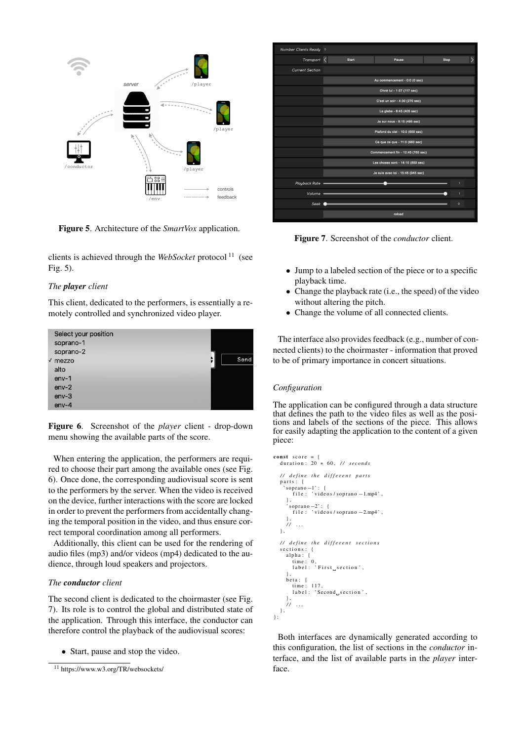<span id="page-3-1"></span>

Figure 5. Architecture of the *SmartVox* application.

clients is achieved through the *WebSocket* protocol [11](#page-3-0) (see Fig. [5\)](#page-3-1).

#### *The player client*

This client, dedicated to the performers, is essentially a remotely controlled and synchronized video player.

<span id="page-3-2"></span>

| Select your position |      |
|----------------------|------|
| soprano-1            |      |
| soprano-2            |      |
| $\sqrt{}$ mezzo      | Send |
| alto                 |      |
| $env-1$              |      |
| $env-2$              |      |
| $env-3$              |      |
| $env-4$              |      |

Figure 6. Screenshot of the *player* client - drop-down menu showing the available parts of the score.

When entering the application, the performers are required to choose their part among the available ones (see Fig. [6\)](#page-3-2). Once done, the corresponding audiovisual score is sent to the performers by the server. When the video is received on the device, further interactions with the score are locked in order to prevent the performers from accidentally changing the temporal position in the video, and thus ensure correct temporal coordination among all performers.

Additionally, this client can be used for the rendering of audio files (mp3) and/or videos (mp4) dedicated to the audience, through loud speakers and projectors.

## *The conductor client*

The second client is dedicated to the choirmaster (see Fig. [7\)](#page-3-3). Its role is to control the global and distributed state of the application. Through this interface, the conductor can therefore control the playback of the audiovisual scores:

• Start, pause and stop the video.

<span id="page-3-3"></span>

| Number Clients Ready   | $\overline{\phantom{a}}$           |                                    |         |  |
|------------------------|------------------------------------|------------------------------------|---------|--|
| Transport              | Start                              | Pause                              | Stop    |  |
| <b>Current Section</b> |                                    |                                    |         |  |
|                        | Au commencement - 0:0 (0 sec)      |                                    |         |  |
|                        | Ohné lui - 1:57 (117 sec)          |                                    |         |  |
|                        | C'est un soir - 4:30 (270 sec)     |                                    |         |  |
|                        | La glebe - 6:45 (405 sec)          |                                    |         |  |
|                        |                                    | Je sur nous - 8:15 (495 sec)       |         |  |
|                        |                                    | Plafond du ciel - 10:0 (600 sec)   |         |  |
|                        |                                    | Ce que ce que - 11:0 (660 sec)     |         |  |
|                        | Commencement fin - 12:45 (765 sec) |                                    |         |  |
|                        |                                    | Les choses sont - 14:10 (850 sec)  |         |  |
|                        |                                    | Je suis avec toi - 15:45 (945 sec) |         |  |
| Playback Rate          |                                    |                                    | n,      |  |
| Volume .               |                                    |                                    | п       |  |
| Seek                   |                                    |                                    | $\circ$ |  |
|                        |                                    | reload                             |         |  |

Figure 7. Screenshot of the *conductor* client.

- Jump to a labeled section of the piece or to a specific playback time.
- Change the playback rate (i.e., the speed) of the video without altering the pitch.
- Change the volume of all connected clients.

The interface also provides feedback (e.g., number of connected clients) to the choirmaster - information that proved to be of primary importance in concert situations.

#### *Configuration*

The application can be configured through a data structure that defines the path to the video files as well as the positions and labels of the sections of the piece. This allows for easily adapting the application to the content of a given piece:

```
const score = {
  duration: 20 * 60, // seconds
  / / d e f i n e t h e d i f f e r e n t p a r t s
  parts: {
     ' soprano −1' : {<br>file : ' videos / soprano −1.mp4',
      },<br>'soprano —2': {<br>file : 'videos/soprano —2.mp4',
      } ,
/ / . . .
  } ,
  / / d e f i n e t h e d i f f e r e n t s e c t i o n s
   sections:
      alpha: {
        time: 0<br>label:1}\cdot First section ',
      },<br>beta: {
        time: 117
         label : 'Second_section'
      } ,
      / / . . .
  } ,
\mathbf{E}
```
Both interfaces are dynamically generated according to this configuration, the list of sections in the *conductor* interface, and the list of available parts in the *player* interface.

<span id="page-3-0"></span><sup>11</sup> <https://www.w3.org/TR/websockets/>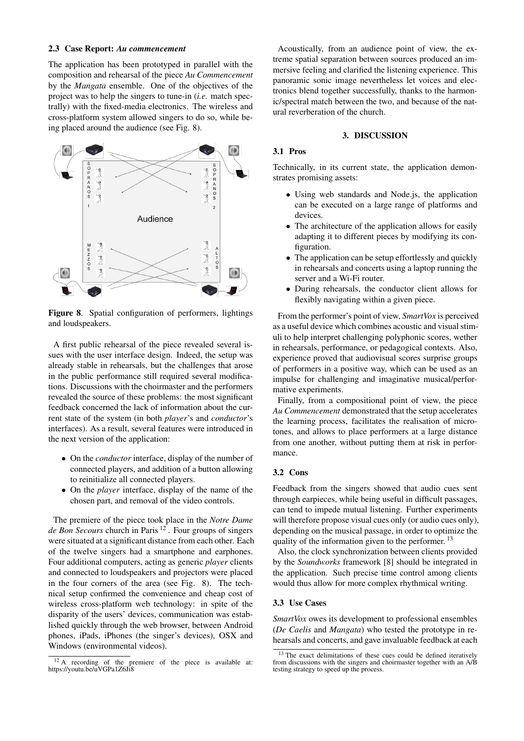#### 2.3 Case Report: *Au commencement*

The application has been prototyped in parallel with the composition and rehearsal of the piece *Au Commencement* by the *Mangata* ensemble. One of the objectives of the project was to help the singers to tune-in (*i.e.* match spectrally) with the fixed-media electronics. The wireless and cross-platform system allowed singers to do so, while being placed around the audience (see Fig. [8\)](#page-4-0).

<span id="page-4-0"></span>

Figure 8. Spatial configuration of performers, lightings and loudspeakers.

A first public rehearsal of the piece revealed several issues with the user interface design. Indeed, the setup was already stable in rehearsals, but the challenges that arose in the public performance still required several modifications. Discussions with the choirmaster and the performers revealed the source of these problems: the most significant feedback concerned the lack of information about the current state of the system (in both *player*'s and *conductor*'s interfaces). As a result, several features were introduced in the next version of the application:

- On the *conductor* interface, display of the number of connected players, and addition of a button allowing to reinitialize all connected players.
- On the *player* interface, display of the name of the chosen part, and removal of the video controls.

The premiere of the piece took place in the *Notre Dame de Bon Secours* church in Paris [12](#page-4-1) . Four groups of singers were situated at a significant distance from each other. Each of the twelve singers had a smartphone and earphones. Four additional computers, acting as generic *player* clients and connected to loudspeakers and projectors were placed in the four corners of the area (see Fig. [8\)](#page-4-0). The technical setup confirmed the convenience and cheap cost of wireless cross-platform web technology: in spite of the disparity of the users' devices, communication was established quickly through the web browser, between Android phones, iPads, iPhones (the singer's devices), OSX and Windows (environmental videos).

Acoustically, from an audience point of view, the extreme spatial separation between sources produced an immersive feeling and clarified the listening experience. This panoramic sonic image nevertheless let voices and electronics blend together successfully, thanks to the harmonic/spectral match between the two, and because of the natural reverberation of the church.

#### 3. DISCUSSION

## 3.1 Pros

Technically, in its current state, the application demonstrates promising assets:

- Using web standards and Node.js, the application can be executed on a large range of platforms and devices.
- The architecture of the application allows for easily adapting it to different pieces by modifying its configuration.
- The application can be setup effortlessly and quickly in rehearsals and concerts using a laptop running the server and a Wi-Fi router.
- During rehearsals, the conductor client allows for flexibly navigating within a given piece.

From the performer's point of view, *SmartVox* is perceived as a useful device which combines acoustic and visual stimuli to help interpret challenging polyphonic scores, wether in rehearsals, performance, or pedagogical contexts. Also, experience proved that audiovisual scores surprise groups of performers in a positive way, which can be used as an impulse for challenging and imaginative musical/performative experiments.

Finally, from a compositional point of view, the piece *Au Commencement* demonstrated that the setup accelerates the learning process, facilitates the realisation of microtones, and allows to place performers at a large distance from one another, without putting them at risk in performance.

#### 3.2 Cons

Feedback from the singers showed that audio cues sent through earpieces, while being useful in difficult passages, can tend to impede mutual listening. Further experiments will therefore propose visual cues only (or audio cues only), depending on the musical passage, in order to optimize the quality of the information given to the performer.<sup>[13](#page-4-2)</sup>

Also, the clock synchronization between clients provided by the *Soundworks* framework [\[8\]](#page-5-7) should be integrated in the application. Such precise time control among clients would thus allow for more complex rhythmical writing.

#### 3.3 Use Cases

*SmartVox* owes its development to professional ensembles (*De Caelis* and *Mangata*) who tested the prototype in rehearsals and concerts, and gave invaluable feedback at each

<span id="page-4-1"></span><sup>&</sup>lt;sup>12</sup> A recording of the premiere of the piece is available at: <https://youtu.be/uVGPa1Z6Ji8>

<span id="page-4-2"></span><sup>&</sup>lt;sup>13</sup> The exact delimitations of these cues could be defined iteratively from discussions with the singers and choirmaster together with an A/B testing strategy to speed up the process.